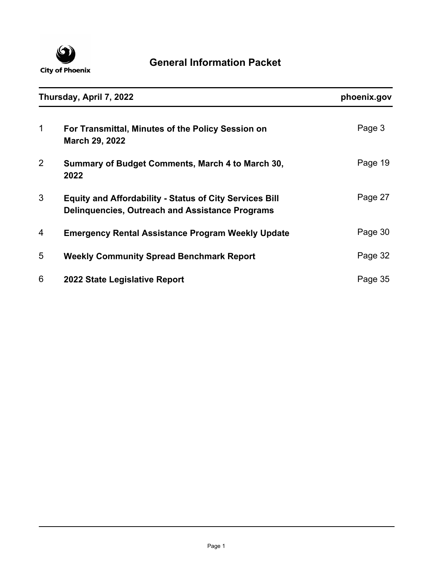

| Thursday, April 7, 2022 |                                                                                                                          | phoenix.gov |
|-------------------------|--------------------------------------------------------------------------------------------------------------------------|-------------|
| 1                       | For Transmittal, Minutes of the Policy Session on<br>March 29, 2022                                                      | Page 3      |
| $\overline{2}$          | Summary of Budget Comments, March 4 to March 30,<br>2022                                                                 | Page 19     |
| 3                       | <b>Equity and Affordability - Status of City Services Bill</b><br><b>Delinguencies, Outreach and Assistance Programs</b> | Page 27     |
| 4                       | <b>Emergency Rental Assistance Program Weekly Update</b>                                                                 | Page 30     |
| 5                       | <b>Weekly Community Spread Benchmark Report</b>                                                                          | Page 32     |
| 6                       | 2022 State Legislative Report                                                                                            | Page 35     |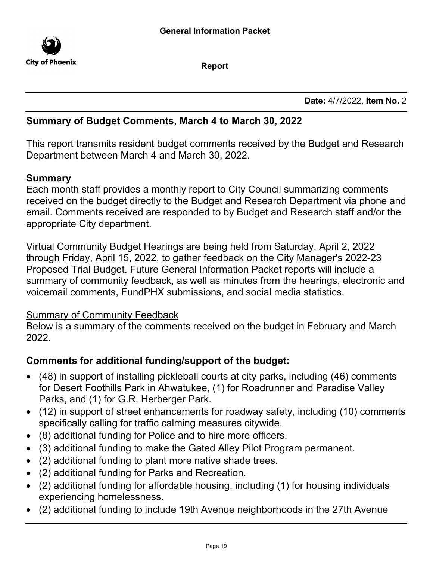

Report

Date: 4/7/2022, Item No. 2

## Summary of Budget Comments, March 4 to March 30, 2022

This report transmits resident budget comments received by the Budget and Research Department between March 4 and March 30, 2022.

## Summary

Each month staff provides a monthly report to City Council summarizing comments received on the budget directly to the Budget and Research Department via phone and email. Comments received are responded to by Budget and Research staff and/or the appropriate City department.

Virtual Community Budget Hearings are being held from Saturday, April 2, 2022 through Friday, April 15, 2022, to gather feedback on the City Manager's 2022-23 Proposed Trial Budget. Future General Information Packet reports will include a summary of community feedback, as well as minutes from the hearings, electronic and voicemail comments, FundPHX submissions, and social media statistics.

## Summary of Community Feedback

Below is a summary of the comments received on the budget in February and March 2022.

## Comments for additional funding/support of the budget:

- · (48) in support of installing pickleball courts at city parks, including (46) comments for Desert Foothills Park in Ahwatukee, (1) for Roadrunner and Paradise Valley Parks, and (1) for G.R. Herberger Park.
- · (12) in support of street enhancements for roadway safety, including (10) comments specifically calling for traffic calming measures citywide.
- · (8) additional funding for Police and to hire more officers.
- · (3) additional funding to make the Gated Alley Pilot Program permanent.
- · (2) additional funding to plant more native shade trees.
- · (2) additional funding for Parks and Recreation.
- · (2) additional funding for affordable housing, including (1) for housing individuals experiencing homelessness.
- · (2) additional funding to include 19th Avenue neighborhoods in the 27th Avenue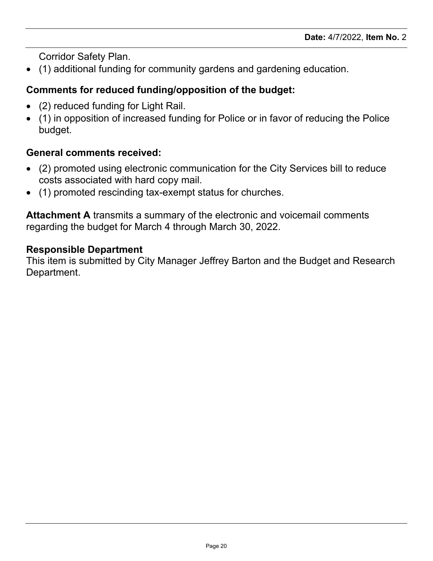Corridor Safety Plan.

· (1) additional funding for community gardens and gardening education.

# Comments for reduced funding/opposition of the budget:

- (2) reduced funding for Light Rail.
- · (1) in opposition of increased funding for Police or in favor of reducing the Police budget.

# General comments received:

- · (2) promoted using electronic communication for the City Services bill to reduce costs associated with hard copy mail.
- · (1) promoted rescinding tax-exempt status for churches.

Attachment A transmits a summary of the electronic and voicemail comments regarding the budget for March 4 through March 30, 2022.

## Responsible Department

This item is submitted by City Manager Jeffrey Barton and the Budget and Research Department.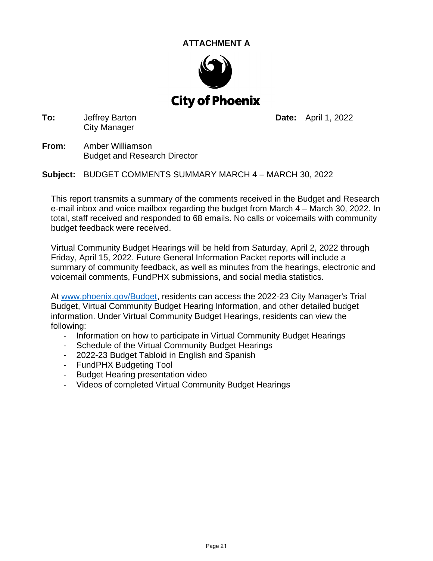### **ATTACHMENT A**



**To:** Jeffrey Barton City Manager

**Date:** April 1, 2022

**From:** Amber Williamson Budget and Research Director

**Subject:** BUDGET COMMENTS SUMMARY MARCH 4 – MARCH 30, 2022

This report transmits a summary of the comments received in the Budget and Research e-mail inbox and voice mailbox regarding the budget from March 4 – March 30, 2022. In total, staff received and responded to 68 emails. No calls or voicemails with community budget feedback were received.

Virtual Community Budget Hearings will be held from Saturday, April 2, 2022 through Friday, April 15, 2022. Future General Information Packet reports will include a summary of community feedback, as well as minutes from the hearings, electronic and voicemail comments, FundPHX submissions, and social media statistics.

At [www.phoenix.gov/Budget,](http://www.phoenix.gov/Budget) residents can access the 2022-23 City Manager's Trial Budget, Virtual Community Budget Hearing Information, and other detailed budget information. Under Virtual Community Budget Hearings, residents can view the following:

- Information on how to participate in Virtual Community Budget Hearings
- Schedule of the Virtual Community Budget Hearings
- 2022-23 Budget Tabloid in English and Spanish
- FundPHX Budgeting Tool
- Budget Hearing presentation video
- Videos of completed Virtual Community Budget Hearings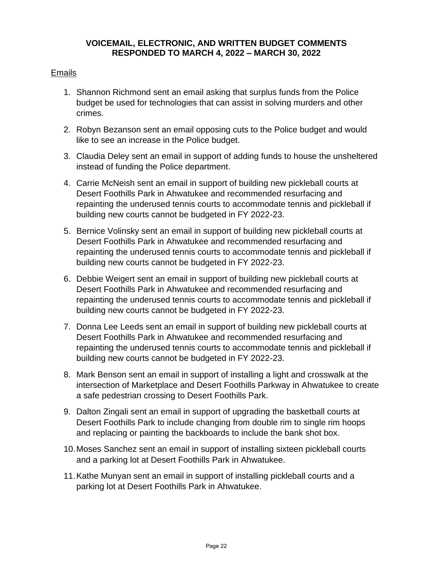#### **VOICEMAIL, ELECTRONIC, AND WRITTEN BUDGET COMMENTS RESPONDED TO MARCH 4, 2022 – MARCH 30, 2022**

#### Emails

- 1. Shannon Richmond sent an email asking that surplus funds from the Police budget be used for technologies that can assist in solving murders and other crimes.
- 2. Robyn Bezanson sent an email opposing cuts to the Police budget and would like to see an increase in the Police budget.
- 3. Claudia Deley sent an email in support of adding funds to house the unsheltered instead of funding the Police department.
- 4. Carrie McNeish sent an email in support of building new pickleball courts at Desert Foothills Park in Ahwatukee and recommended resurfacing and repainting the underused tennis courts to accommodate tennis and pickleball if building new courts cannot be budgeted in FY 2022-23.
- 5. Bernice Volinsky sent an email in support of building new pickleball courts at Desert Foothills Park in Ahwatukee and recommended resurfacing and repainting the underused tennis courts to accommodate tennis and pickleball if building new courts cannot be budgeted in FY 2022-23.
- 6. Debbie Weigert sent an email in support of building new pickleball courts at Desert Foothills Park in Ahwatukee and recommended resurfacing and repainting the underused tennis courts to accommodate tennis and pickleball if building new courts cannot be budgeted in FY 2022-23.
- 7. Donna Lee Leeds sent an email in support of building new pickleball courts at Desert Foothills Park in Ahwatukee and recommended resurfacing and repainting the underused tennis courts to accommodate tennis and pickleball if building new courts cannot be budgeted in FY 2022-23.
- 8. Mark Benson sent an email in support of installing a light and crosswalk at the intersection of Marketplace and Desert Foothills Parkway in Ahwatukee to create a safe pedestrian crossing to Desert Foothills Park.
- 9. Dalton Zingali sent an email in support of upgrading the basketball courts at Desert Foothills Park to include changing from double rim to single rim hoops and replacing or painting the backboards to include the bank shot box.
- 10.Moses Sanchez sent an email in support of installing sixteen pickleball courts and a parking lot at Desert Foothills Park in Ahwatukee.
- 11.Kathe Munyan sent an email in support of installing pickleball courts and a parking lot at Desert Foothills Park in Ahwatukee.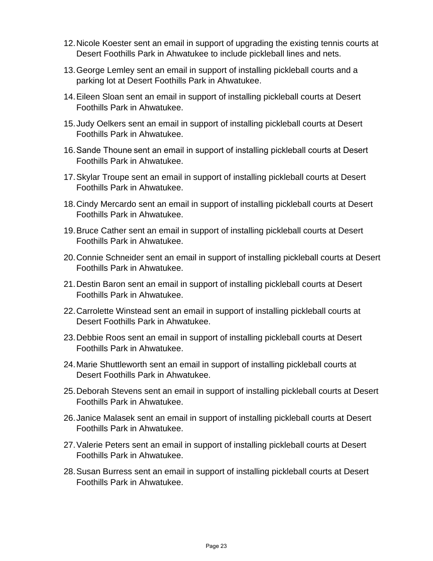- 12.Nicole Koester sent an email in support of upgrading the existing tennis courts at Desert Foothills Park in Ahwatukee to include pickleball lines and nets.
- 13.George Lemley sent an email in support of installing pickleball courts and a parking lot at Desert Foothills Park in Ahwatukee.
- 14.Eileen Sloan sent an email in support of installing pickleball courts at Desert Foothills Park in Ahwatukee.
- 15.Judy Oelkers sent an email in support of installing pickleball courts at Desert Foothills Park in Ahwatukee.
- 16.Sande Thoune sent an email in support of installing pickleball courts at Desert Foothills Park in Ahwatukee.
- 17.Skylar Troupe sent an email in support of installing pickleball courts at Desert Foothills Park in Ahwatukee.
- 18.Cindy Mercardo sent an email in support of installing pickleball courts at Desert Foothills Park in Ahwatukee.
- 19.Bruce Cather sent an email in support of installing pickleball courts at Desert Foothills Park in Ahwatukee.
- 20.Connie Schneider sent an email in support of installing pickleball courts at Desert Foothills Park in Ahwatukee.
- 21.Destin Baron sent an email in support of installing pickleball courts at Desert Foothills Park in Ahwatukee.
- 22.Carrolette Winstead sent an email in support of installing pickleball courts at Desert Foothills Park in Ahwatukee.
- 23.Debbie Roos sent an email in support of installing pickleball courts at Desert Foothills Park in Ahwatukee.
- 24.Marie Shuttleworth sent an email in support of installing pickleball courts at Desert Foothills Park in Ahwatukee.
- 25.Deborah Stevens sent an email in support of installing pickleball courts at Desert Foothills Park in Ahwatukee.
- 26.Janice Malasek sent an email in support of installing pickleball courts at Desert Foothills Park in Ahwatukee.
- 27.Valerie Peters sent an email in support of installing pickleball courts at Desert Foothills Park in Ahwatukee.
- 28.Susan Burress sent an email in support of installing pickleball courts at Desert Foothills Park in Ahwatukee.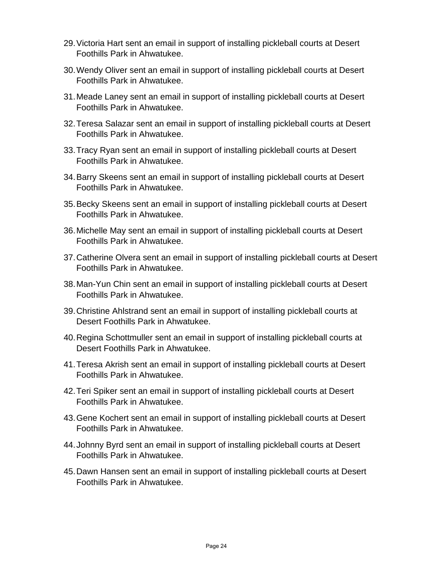- 29.Victoria Hart sent an email in support of installing pickleball courts at Desert Foothills Park in Ahwatukee.
- 30.Wendy Oliver sent an email in support of installing pickleball courts at Desert Foothills Park in Ahwatukee.
- 31.Meade Laney sent an email in support of installing pickleball courts at Desert Foothills Park in Ahwatukee.
- 32.Teresa Salazar sent an email in support of installing pickleball courts at Desert Foothills Park in Ahwatukee.
- 33.Tracy Ryan sent an email in support of installing pickleball courts at Desert Foothills Park in Ahwatukee.
- 34.Barry Skeens sent an email in support of installing pickleball courts at Desert Foothills Park in Ahwatukee.
- 35.Becky Skeens sent an email in support of installing pickleball courts at Desert Foothills Park in Ahwatukee.
- 36.Michelle May sent an email in support of installing pickleball courts at Desert Foothills Park in Ahwatukee.
- 37.Catherine Olvera sent an email in support of installing pickleball courts at Desert Foothills Park in Ahwatukee.
- 38.Man-Yun Chin sent an email in support of installing pickleball courts at Desert Foothills Park in Ahwatukee.
- 39.Christine Ahlstrand sent an email in support of installing pickleball courts at Desert Foothills Park in Ahwatukee.
- 40.Regina Schottmuller sent an email in support of installing pickleball courts at Desert Foothills Park in Ahwatukee.
- 41.Teresa Akrish sent an email in support of installing pickleball courts at Desert Foothills Park in Ahwatukee.
- 42.Teri Spiker sent an email in support of installing pickleball courts at Desert Foothills Park in Ahwatukee.
- 43.Gene Kochert sent an email in support of installing pickleball courts at Desert Foothills Park in Ahwatukee.
- 44.Johnny Byrd sent an email in support of installing pickleball courts at Desert Foothills Park in Ahwatukee.
- 45.Dawn Hansen sent an email in support of installing pickleball courts at Desert Foothills Park in Ahwatukee.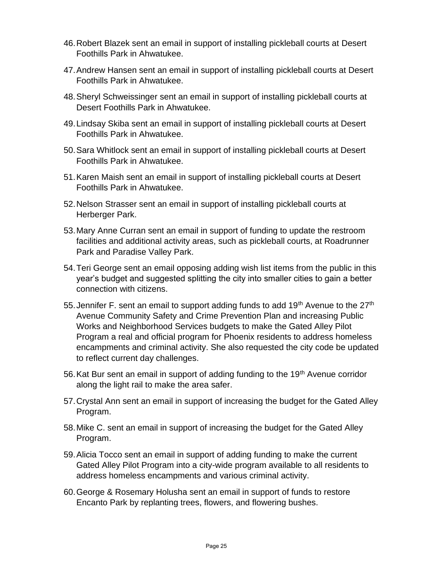- 46.Robert Blazek sent an email in support of installing pickleball courts at Desert Foothills Park in Ahwatukee.
- 47.Andrew Hansen sent an email in support of installing pickleball courts at Desert Foothills Park in Ahwatukee.
- 48.Sheryl Schweissinger sent an email in support of installing pickleball courts at Desert Foothills Park in Ahwatukee.
- 49.Lindsay Skiba sent an email in support of installing pickleball courts at Desert Foothills Park in Ahwatukee.
- 50.Sara Whitlock sent an email in support of installing pickleball courts at Desert Foothills Park in Ahwatukee.
- 51.Karen Maish sent an email in support of installing pickleball courts at Desert Foothills Park in Ahwatukee.
- 52.Nelson Strasser sent an email in support of installing pickleball courts at Herberger Park.
- 53.Mary Anne Curran sent an email in support of funding to update the restroom facilities and additional activity areas, such as pickleball courts, at Roadrunner Park and Paradise Valley Park.
- 54.Teri George sent an email opposing adding wish list items from the public in this year's budget and suggested splitting the city into smaller cities to gain a better connection with citizens.
- 55. Jennifer F, sent an email to support adding funds to add  $19<sup>th</sup>$  Avenue to the  $27<sup>th</sup>$ Avenue Community Safety and Crime Prevention Plan and increasing Public Works and Neighborhood Services budgets to make the Gated Alley Pilot Program a real and official program for Phoenix residents to address homeless encampments and criminal activity. She also requested the city code be updated to reflect current day challenges.
- 56. Kat Bur sent an email in support of adding funding to the 19<sup>th</sup> Avenue corridor along the light rail to make the area safer.
- 57.Crystal Ann sent an email in support of increasing the budget for the Gated Alley Program.
- 58.Mike C. sent an email in support of increasing the budget for the Gated Alley Program.
- 59.Alicia Tocco sent an email in support of adding funding to make the current Gated Alley Pilot Program into a city-wide program available to all residents to address homeless encampments and various criminal activity.
- 60.George & Rosemary Holusha sent an email in support of funds to restore Encanto Park by replanting trees, flowers, and flowering bushes.